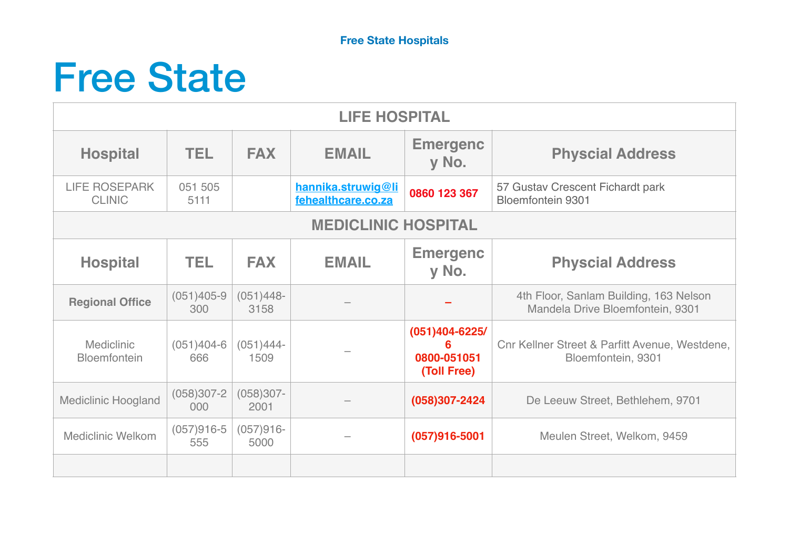## Free State

| <b>LIFE HOSPITAL</b>                  |                       |                      |                                          |                                                       |                                                                            |  |  |  |  |
|---------------------------------------|-----------------------|----------------------|------------------------------------------|-------------------------------------------------------|----------------------------------------------------------------------------|--|--|--|--|
| <b>Hospital</b>                       | TEL.                  | <b>FAX</b>           | <b>EMAIL</b>                             | <b>Emergenc</b><br>y No.                              | <b>Physcial Address</b>                                                    |  |  |  |  |
| <b>LIFE ROSEPARK</b><br><b>CLINIC</b> | 051 505<br>5111       |                      | hannika.struwig@li<br>fehealthcare.co.za | 0860 123 367                                          | 57 Gustav Crescent Fichardt park<br><b>Bloemfontein 9301</b>               |  |  |  |  |
| <b>MEDICLINIC HOSPITAL</b>            |                       |                      |                                          |                                                       |                                                                            |  |  |  |  |
| <b>Hospital</b>                       | TEL.                  | <b>FAX</b>           | <b>EMAIL</b>                             | <b>Emergenc</b><br>y No.                              | <b>Physcial Address</b>                                                    |  |  |  |  |
| <b>Regional Office</b>                | $(051)405 - 9$<br>300 | $(051)448 -$<br>3158 |                                          |                                                       | 4th Floor, Sanlam Building, 163 Nelson<br>Mandela Drive Bloemfontein, 9301 |  |  |  |  |
| <b>Mediclinic</b><br>Bloemfontein     | $(051)404-6$<br>666   | $(051)444-$<br>1509  |                                          | $(051)404 - 6225/$<br>6<br>0800-051051<br>(Toll Free) | Cnr Kellner Street & Parfitt Avenue, Westdene,<br>Bloemfontein, 9301       |  |  |  |  |
| <b>Mediclinic Hoogland</b>            | $(058)307 - 2$<br>000 | $(058)307 -$<br>2001 |                                          | (058)307-2424                                         | De Leeuw Street, Bethlehem, 9701                                           |  |  |  |  |
| <b>Mediclinic Welkom</b>              | $(057)916-5$<br>555   | $(057)916-$<br>5000  |                                          | $(057)916 - 5001$                                     | Meulen Street, Welkom, 9459                                                |  |  |  |  |
|                                       |                       |                      |                                          |                                                       |                                                                            |  |  |  |  |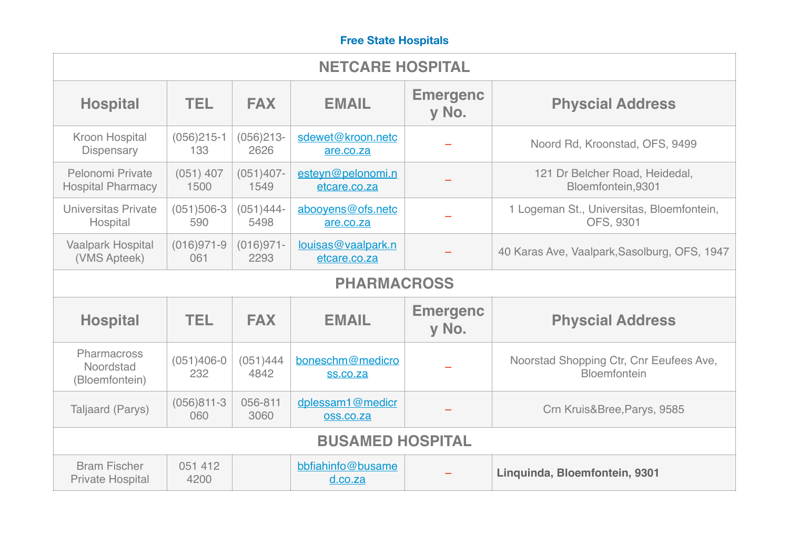## **Free State Hospitals**

| <b>NETCARE HOSPITAL</b>                      |                       |                      |                                     |                          |                                                         |  |  |  |  |
|----------------------------------------------|-----------------------|----------------------|-------------------------------------|--------------------------|---------------------------------------------------------|--|--|--|--|
| <b>Hospital</b>                              | TEL.                  | <b>FAX</b>           | <b>EMAIL</b>                        | <b>Emergenc</b><br>y No. | <b>Physcial Address</b>                                 |  |  |  |  |
| <b>Kroon Hospital</b><br><b>Dispensary</b>   | $(056)215-1$<br>133   | $(056)213-$<br>2626  | sdewet@kroon.netc<br>are.co.za      |                          | Noord Rd, Kroonstad, OFS, 9499                          |  |  |  |  |
| Pelonomi Private<br><b>Hospital Pharmacy</b> | $(051)$ 407<br>1500   | $(051)407 -$<br>1549 | esteyn@pelonomi.n<br>etcare.co.za   |                          | 121 Dr Belcher Road, Heidedal,<br>Bloemfontein,9301     |  |  |  |  |
| Universitas Private<br>Hospital              | $(051)506-3$<br>590   | $(051)444-$<br>5498  | abooyens@ofs.netc<br>are.co.za      |                          | 1 Logeman St., Universitas, Bloemfontein,<br>OFS, 9301  |  |  |  |  |
| <b>Vaalpark Hospital</b><br>(VMS Apteek)     | $(016)971-9$<br>061   | $(016)971 -$<br>2293 | louisas@vaalpark.n<br>etcare.co.za  |                          | 40 Karas Ave, Vaalpark, Sasolburg, OFS, 1947            |  |  |  |  |
| <b>PHARMACROSS</b>                           |                       |                      |                                     |                          |                                                         |  |  |  |  |
| <b>Hospital</b>                              | TEL.                  | <b>FAX</b>           | <b>EMAIL</b>                        | <b>Emergenc</b><br>y No. | <b>Physcial Address</b>                                 |  |  |  |  |
| Pharmacross<br>Noordstad                     |                       |                      |                                     |                          |                                                         |  |  |  |  |
| (Bloemfontein)                               | $(051)406 - 0$<br>232 | (051)444<br>4842     | boneschm@medicro<br><b>ss.co.za</b> |                          | Noorstad Shopping Ctr, Cnr Eeufees Ave,<br>Bloemfontein |  |  |  |  |
| Taljaard (Parys)                             | $(056)811-3$<br>060   | 056-811<br>3060      | dplessam1@medicr<br>oss.co.za       |                          | Crn Kruis&Bree, Parys, 9585                             |  |  |  |  |
|                                              |                       |                      | <b>BUSAMED HOSPITAL</b>             |                          |                                                         |  |  |  |  |